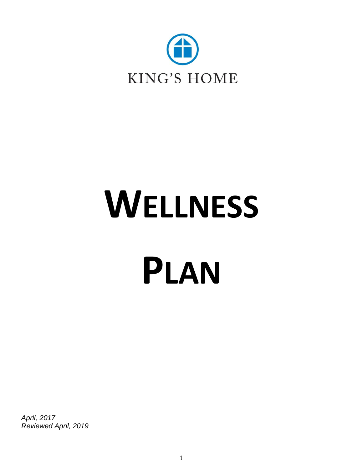

# **WELLNESS PLAN**

*April, 2017 Reviewed April, 2019*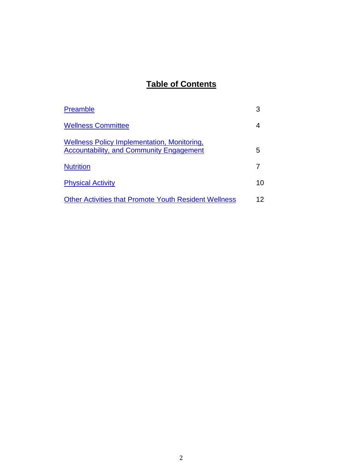# **Table of Contents**

| <b>Preamble</b>                                                                                |    |
|------------------------------------------------------------------------------------------------|----|
| <b>Wellness Committee</b>                                                                      |    |
| Wellness Policy Implementation, Monitoring,<br><b>Accountability, and Community Engagement</b> | 5  |
| <b>Nutrition</b>                                                                               |    |
| <b>Physical Activity</b>                                                                       | 10 |
| <b>Other Activities that Promote Youth Resident Wellness</b>                                   | 12 |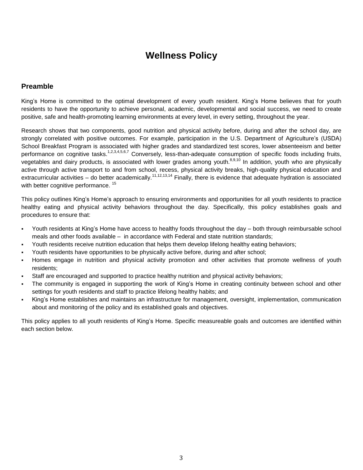# **Wellness Policy**

### <span id="page-2-0"></span>**Preamble**

King's Home is committed to the optimal development of every youth resident. King's Home believes that for youth residents to have the opportunity to achieve personal, academic, developmental and social success, we need to create positive, safe and health-promoting learning environments at every level, in every setting, throughout the year.

Research shows that two components, good nutrition and physical activity before, during and after the school day, are strongly correlated with positive outcomes. For example, participation in the U.S. Department of Agriculture's (USDA) School Breakfast Program is associated with higher grades and standardized test scores, lower absenteeism and better performance on cognitive tasks.<sup>1,2,3,4,5,6,7</sup> Conversely, less-than-adequate consumption of specific foods including fruits, vegetables and dairy products, is associated with lower grades among youth.<sup>8,9,10</sup> In addition, youth who are physically active through active transport to and from school, recess, physical activity breaks, high-quality physical education and extracurricular activities – do better academically.<sup>11,12,13,14</sup> Finally, there is evidence that adequate hydration is associated with better cognitive performance.<sup>15</sup>

This policy outlines King's Home's approach to ensuring environments and opportunities for all youth residents to practice healthy eating and physical activity behaviors throughout the day. Specifically, this policy establishes goals and procedures to ensure that:

- Youth residents at King's Home have access to healthy foods throughout the day ‒ both through reimbursable school meals and other foods available – in accordance with Federal and state nutrition standards;
- Youth residents receive nutrition education that helps them develop lifelong healthy eating behaviors;
- Youth residents have opportunities to be physically active before, during and after school;
- Homes engage in nutrition and physical activity promotion and other activities that promote wellness of youth residents;
- Staff are encouraged and supported to practice healthy nutrition and physical activity behaviors;
- The community is engaged in supporting the work of King's Home in creating continuity between school and other settings for youth residents and staff to practice lifelong healthy habits; and
- King's Home establishes and maintains an infrastructure for management, oversight, implementation, communication about and monitoring of the policy and its established goals and objectives.

This policy applies to all youth residents of King's Home. Specific measureable goals and outcomes are identified within each section below.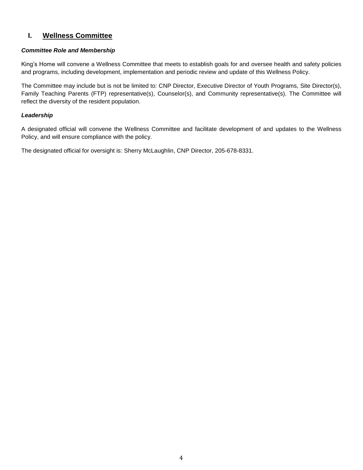# <span id="page-3-0"></span>**I. Wellness Committee**

#### *Committee Role and Membership*

King's Home will convene a Wellness Committee that meets to establish goals for and oversee health and safety policies and programs, including development, implementation and periodic review and update of this Wellness Policy.

The Committee may include but is not be limited to: CNP Director, Executive Director of Youth Programs, Site Director(s), Family Teaching Parents (FTP) representative(s), Counselor(s), and Community representative(s). The Committee will reflect the diversity of the resident population.

#### *Leadership*

A designated official will convene the Wellness Committee and facilitate development of and updates to the Wellness Policy, and will ensure compliance with the policy.

The designated official for oversight is: Sherry McLaughlin, CNP Director, 205-678-8331.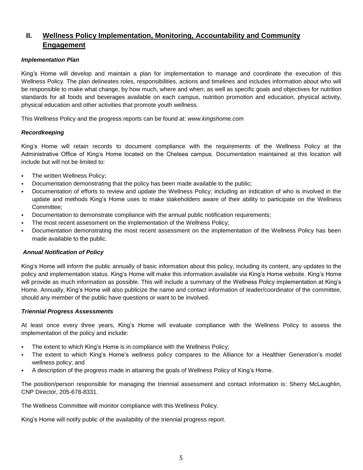# <span id="page-4-0"></span>**II. Wellness Policy Implementation, Monitoring, Accountability and Community Engagement**

#### *Implementation Plan*

King's Home will develop and maintain a plan for implementation to manage and coordinate the execution of this Wellness Policy. The plan delineates roles, responsibilities, actions and timelines and includes information about who will be responsible to make what change, by how much, where and when; as well as specific goals and objectives for nutrition standards for all foods and beverages available on each campus, nutrition promotion and education, physical activity, physical education and other activities that promote youth wellness.

This Wellness Policy and the progress reports can be found at: *www.kingshome.com*

#### *Recordkeeping*

King's Home will retain records to document compliance with the requirements of the Wellness Policy at the Administrative Office of King's Home located on the Chelsea campus. Documentation maintained at this location will include but will not be limited to:

- The written Wellness Policy;
- Documentation demonstrating that the policy has been made available to the public;
- Documentation of efforts to review and update the Wellness Policy; including an indication of who is involved in the update and methods King's Home uses to make stakeholders aware of their ability to participate on the Wellness Committee;
- Documentation to demonstrate compliance with the annual public notification requirements;
- The most recent assessment on the implementation of the Wellness Policy;
- Documentation demonstrating the most recent assessment on the implementation of the Wellness Policy has been made available to the public.

#### *Annual Notification of Policy*

King's Home will inform the public annually of basic information about this policy, including its content, any updates to the policy and implementation status. King's Home will make this information available via King's Home website. King's Home will provide as much information as possible. This will include a summary of the Wellness Policy implementation at King's Home. Annually, King's Home will also publicize the name and contact information of leader/coordinator of the committee, should any member of the public have questions or want to be involved.

#### *Triennial Progress Assessments*

At least once every three years, King's Home will evaluate compliance with the Wellness Policy to assess the implementation of the policy and include:

- The extent to which King's Home is in compliance with the Wellness Policy;
- The extent to which King's Home's wellness policy compares to the Alliance for a Healthier Generation's model wellness policy; and
- A description of the progress made in attaining the goals of Wellness Policy of King's Home.

The position/person responsible for managing the triennial assessment and contact information is: Sherry McLaughlin, CNP Director, 205-678-8331.

The Wellness Committee will monitor compliance with this Wellness Policy.

King's Home will notify public of the availability of the triennial progress report.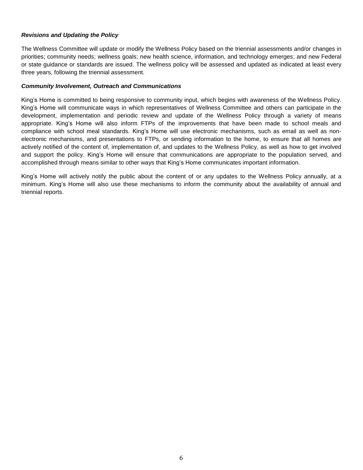#### *Revisions and Updating the Policy*

The Wellness Committee will update or modify the Wellness Policy based on the triennial assessments and/or changes in priorities; community needs; wellness goals; new health science, information, and technology emerges; and new Federal or state guidance or standards are issued. The wellness policy will be assessed and updated as indicated at least every three years, following the triennial assessment.

#### *Community Involvement, Outreach and Communications*

King's Home is committed to being responsive to community input, which begins with awareness of the Wellness Policy. King's Home will communicate ways in which representatives of Wellness Committee and others can participate in the development, implementation and periodic review and update of the Wellness Policy through a variety of means appropriate. King's Home will also inform FTPs of the improvements that have been made to school meals and compliance with school meal standards. King's Home will use electronic mechanisms, such as email as well as nonelectronic mechanisms, and presentations to FTPs, or sending information to the home, to ensure that all homes are actively notified of the content of, implementation of, and updates to the Wellness Policy, as well as how to get involved and support the policy. King's Home will ensure that communications are appropriate to the population served, and accomplished through means similar to other ways that King's Home communicates important information.

King's Home will actively notify the public about the content of or any updates to the Wellness Policy annually, at a minimum. King's Home will also use these mechanisms to inform the community about the availability of annual and triennial reports.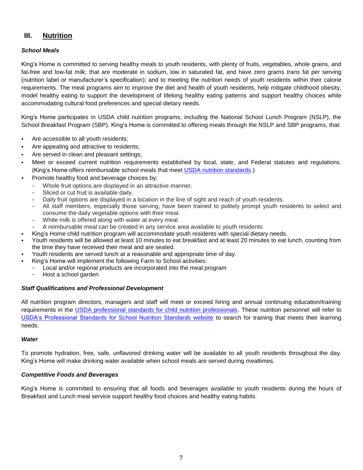## <span id="page-6-0"></span>**III. Nutrition**

#### *School Meals*

King's Home is committed to serving healthy meals to youth residents, with plenty of fruits, vegetables, whole grains, and fat-free and low-fat milk; that are moderate in sodium, low in saturated fat, and have zero grams *trans* fat per serving (nutrition label or manufacturer's specification); and to meeting the nutrition needs of youth residents within their calorie requirements. The meal programs aim to improve the diet and health of youth residents, help mitigate childhood obesity, model healthy eating to support the development of lifelong healthy eating patterns and support healthy choices while accommodating cultural food preferences and special dietary needs.

King's Home participates in USDA child nutrition programs, including the National School Lunch Program (NSLP), the School Breakfast Program (SBP). King's Home is committed to offering meals through the NSLP and SBP programs, that:

- Are accessible to all youth residents;
- Are appealing and attractive to residents;
- Are served in clean and pleasant settings;
- Meet or exceed current nutrition requirements established by local, state, and Federal statutes and regulations. (King's Home offers reimbursable school meals that meet [USDA nutrition standards.](http://www.fns.usda.gov/school-meals/nutrition-standards-school-meals))
- Promote healthy food and beverage choices by:
	- Whole fruit options are displayed in an attractive manner.
	- Sliced or cut fruit is available daily.
	- Daily fruit options are displayed in a location in the line of sight and reach of youth residents.
	- − All staff members, especially those serving, have been trained to politely prompt youth residents to select and consume the daily vegetable options with their meal.
	- White milk is offered along with water at every meal.
	- − A reimbursable meal can be created in any service area available to youth residents
- King's Home child nutrition program will accommodate youth residents with special dietary needs.
- Youth residents will be allowed at least 10 minutes to eat breakfast and at least 20 minutes to eat lunch, counting from the time they have received their meal and are seated.
- Youth residents are served lunch at a reasonable and appropriate time of day.
- King's Home will implement the following Farm to School activities:
	- Local and/or regional products are incorporated into the meal program
	- − Host a school garden

#### *Staff Qualifications and Professional Development*

All nutrition program directors, managers and staff will meet or exceed hiring and annual continuing education/training requirements in the [USDA professional standards for child nutrition professionals.](http://www.fns.usda.gov/sites/default/files/CN2014-0130.pdf) These nutrition personnel will refer to [USDA's Professional Standards for School Nutrition Standards website](http://professionalstandards.nal.usda.gov/) to search for training that meets their learning needs.

#### *Water*

To promote hydration, free, safe, unflavored drinking water will be available to all youth residents throughout the day. King's Home will make drinking water available when school meals are served during mealtimes.

#### *Competitive Foods and Beverages*

King's Home is committed to ensuring that all foods and beverages available to youth residents during the hours of Breakfast and Lunch meal service support healthy food choices and healthy eating habits.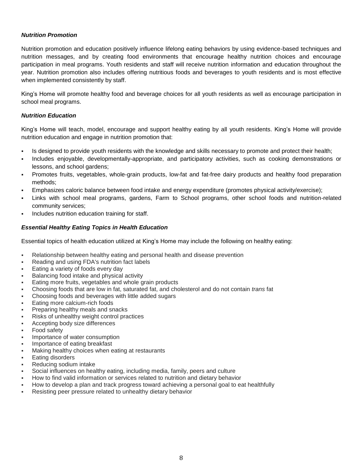#### *Nutrition Promotion*

Nutrition promotion and education positively influence lifelong eating behaviors by using evidence-based techniques and nutrition messages, and by creating food environments that encourage healthy nutrition choices and encourage participation in meal programs. Youth residents and staff will receive nutrition information and education throughout the year. Nutrition promotion also includes offering nutritious foods and beverages to youth residents and is most effective when implemented consistently by staff.

King's Home will promote healthy food and beverage choices for all youth residents as well as encourage participation in school meal programs.

#### *Nutrition Education*

King's Home will teach, model, encourage and support healthy eating by all youth residents. King's Home will provide nutrition education and engage in nutrition promotion that:

- Is designed to provide youth residents with the knowledge and skills necessary to promote and protect their health;
- Includes enjoyable, developmentally-appropriate, and participatory activities, such as cooking demonstrations or lessons, and school gardens;
- Promotes fruits, vegetables, whole-grain products, low-fat and fat-free dairy products and healthy food preparation methods;
- Emphasizes caloric balance between food intake and energy expenditure (promotes physical activity/exercise);
- Links with school meal programs, gardens, Farm to School programs, other school foods and nutrition-related community services;
- Includes nutrition education training for staff.

#### *Essential Healthy Eating Topics in Health Education*

Essential topics of health education utilized at King's Home may include the following on healthy eating:

- Relationship between healthy eating and personal health and disease prevention
- Reading and using FDA's nutrition fact labels
- Eating a variety of foods every day
- Balancing food intake and physical activity
- Eating more fruits, vegetables and whole grain products
- Choosing foods that are low in fat, saturated fat, and cholesterol and do not contain *trans* fat
- Choosing foods and beverages with little added sugars
- Eating more calcium-rich foods
- Preparing healthy meals and snacks
- Risks of unhealthy weight control practices
- Accepting body size differences
- Food safety
- Importance of water consumption
- Importance of eating breakfast
- Making healthy choices when eating at restaurants
- Eating disorders
- Reducing sodium intake
- Social influences on healthy eating, including media, family, peers and culture
- How to find valid information or services related to nutrition and dietary behavior
- How to develop a plan and track progress toward achieving a personal goal to eat healthfully
- Resisting peer pressure related to unhealthy dietary behavior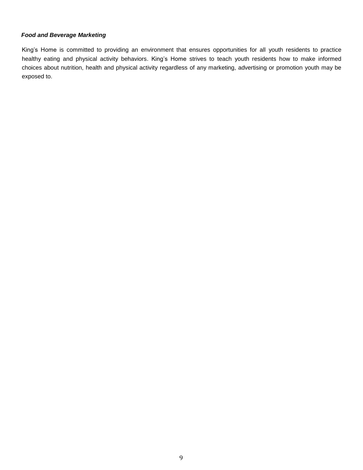#### *Food and Beverage Marketing*

King's Home is committed to providing an environment that ensures opportunities for all youth residents to practice healthy eating and physical activity behaviors. King's Home strives to teach youth residents how to make informed choices about nutrition, health and physical activity regardless of any marketing, advertising or promotion youth may be exposed to.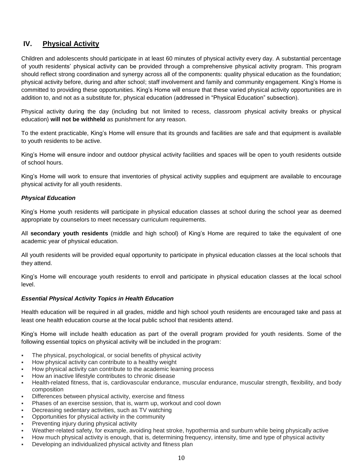# <span id="page-9-0"></span>**IV. Physical Activity**

Children and adolescents should participate in at least 60 minutes of physical activity every day. A substantial percentage of youth residents' physical activity can be provided through a comprehensive physical activity program. This program should reflect strong coordination and synergy across all of the components: quality physical education as the foundation; physical activity before, during and after school; staff involvement and family and community engagement. King's Home is committed to providing these opportunities. King's Home will ensure that these varied physical activity opportunities are in addition to, and not as a substitute for, physical education (addressed in "Physical Education" subsection).

Physical activity during the day (including but not limited to recess, classroom physical activity breaks or physical education) **will not be withheld** as punishment for any reason.

To the extent practicable, King's Home will ensure that its grounds and facilities are safe and that equipment is available to youth residents to be active.

King's Home will ensure indoor and outdoor physical activity facilities and spaces will be open to youth residents outside of school hours.

King's Home will work to ensure that inventories of physical activity supplies and equipment are available to encourage physical activity for all youth residents.

#### *Physical Education*

King's Home youth residents will participate in physical education classes at school during the school year as deemed appropriate by counselors to meet necessary curriculum requirements.

All **secondary youth residents** (middle and high school) of King's Home are required to take the equivalent of one academic year of physical education.

All youth residents will be provided equal opportunity to participate in physical education classes at the local schools that they attend.

King's Home will encourage youth residents to enroll and participate in physical education classes at the local school level.

#### *Essential Physical Activity Topics in Health Education*

Health education will be required in all grades, middle and high school youth residents are encouraged take and pass at least one health education course at the local public school that residents attend.

King's Home will include health education as part of the overall program provided for youth residents. Some of the following essential topics on physical activity will be included in the program:

- The physical, psychological, or social benefits of physical activity
- How physical activity can contribute to a healthy weight
- How physical activity can contribute to the academic learning process
- How an inactive lifestyle contributes to chronic disease
- Health-related fitness, that is, cardiovascular endurance, muscular endurance, muscular strength, flexibility, and body composition
- Differences between physical activity, exercise and fitness
- Phases of an exercise session, that is, warm up, workout and cool down
- Decreasing sedentary activities, such as TV watching
- Opportunities for physical activity in the community
- Preventing injury during physical activity
- Weather-related safety, for example, avoiding heat stroke, hypothermia and sunburn while being physically active
- How much physical activity is enough, that is, determining frequency, intensity, time and type of physical activity
- Developing an individualized physical activity and fitness plan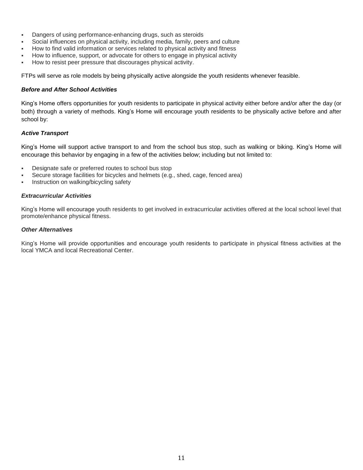- **Dangers of using performance-enhancing drugs, such as steroids**
- Social influences on physical activity, including media, family, peers and culture
- How to find valid information or services related to physical activity and fitness
- How to influence, support, or advocate for others to engage in physical activity
- How to resist peer pressure that discourages physical activity.

FTPs will serve as role models by being physically active alongside the youth residents whenever feasible.

#### *Before and After School Activities*

King's Home offers opportunities for youth residents to participate in physical activity either before and/or after the day (or both) through a variety of methods. King's Home will encourage youth residents to be physically active before and after school by:

#### *Active Transport*

King's Home will support active transport to and from the school bus stop, such as walking or biking. King's Home will encourage this behavior by engaging in a few of the activities below; including but not limited to:

- Designate safe or preferred routes to school bus stop
- Secure storage facilities for bicycles and helmets (e.g., shed, cage, fenced area)
- Instruction on walking/bicycling safety

#### *Extracurricular Activities*

King's Home will encourage youth residents to get involved in extracurricular activities offered at the local school level that promote/enhance physical fitness.

#### *Other Alternatives*

<span id="page-10-0"></span>King's Home will provide opportunities and encourage youth residents to participate in physical fitness activities at the local YMCA and local Recreational Center.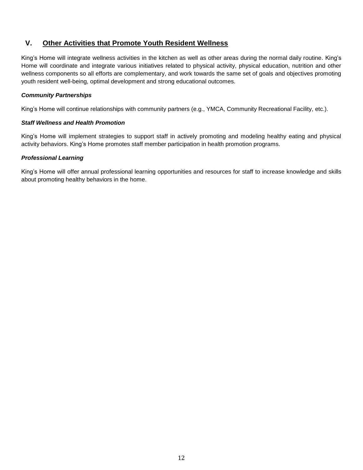## **V. Other Activities that Promote Youth Resident Wellness**

King's Home will integrate wellness activities in the kitchen as well as other areas during the normal daily routine. King's Home will coordinate and integrate various initiatives related to physical activity, physical education, nutrition and other wellness components so all efforts are complementary, and work towards the same set of goals and objectives promoting youth resident well-being, optimal development and strong educational outcomes.

#### *Community Partnerships*

King's Home will continue relationships with community partners (e.g., YMCA, Community Recreational Facility, etc.).

#### *Staff Wellness and Health Promotion*

King's Home will implement strategies to support staff in actively promoting and modeling healthy eating and physical activity behaviors. King's Home promotes staff member participation in health promotion programs.

#### *Professional Learning*

King's Home will offer annual professional learning opportunities and resources for staff to increase knowledge and skills about promoting healthy behaviors in the home.